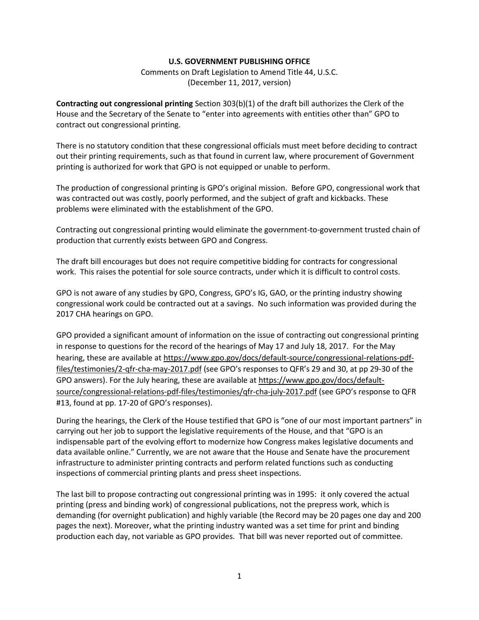## **U.S. GOVERNMENT PUBLISHING OFFICE**

Comments on Draft Legislation to Amend Title 44, U.S.C. (December 11, 2017, version)

**Contracting out congressional printing** Section 303(b)(1) of the draft bill authorizes the Clerk of the House and the Secretary of the Senate to "enter into agreements with entities other than" GPO to contract out congressional printing.

There is no statutory condition that these congressional officials must meet before deciding to contract out their printing requirements, such as that found in current law, where procurement of Government printing is authorized for work that GPO is not equipped or unable to perform.

The production of congressional printing is GPO's original mission. Before GPO, congressional work that was contracted out was costly, poorly performed, and the subject of graft and kickbacks. These problems were eliminated with the establishment of the GPO.

Contracting out congressional printing would eliminate the government-to-government trusted chain of production that currently exists between GPO and Congress.

The draft bill encourages but does not require competitive bidding for contracts for congressional work. This raises the potential for sole source contracts, under which it is difficult to control costs.

GPO is not aware of any studies by GPO, Congress, GPO's IG, GAO, or the printing industry showing congressional work could be contracted out at a savings. No such information was provided during the 2017 CHA hearings on GPO.

GPO provided a significant amount of information on the issue of contracting out congressional printing in response to questions for the record of the hearings of May 17 and July 18, 2017. For the May hearing, these are available at [https://www.gpo.gov/docs/default-source/congressional-relations-pdf](https://www.gpo.gov/docs/default-source/congressional-relations-pdf-files/testimonies/2-qfr-cha-may-2017.pdf)[files/testimonies/2-qfr-cha-may-2017.pdf](https://www.gpo.gov/docs/default-source/congressional-relations-pdf-files/testimonies/2-qfr-cha-may-2017.pdf) (see GPO's responses to QFR's 29 and 30, at pp 29-30 of the GPO answers). For the July hearing, these are available a[t https://www.gpo.gov/docs/default](https://na01.safelinks.protection.outlook.com/?url=https%3A%2F%2Fwww.gpo.gov%2Fdocs%2Fdefault-source%2Fcongressional-relations-pdf-files%2Ftestimonies%2Fqfr-cha-july-2017.pdf&data=02%7C01%7Casherman%40gpo.gov%7C3b3eddde814140a639bd08d5672da150%7C97ae4de0d4584af3a7df1c19bdbe49d0%7C0%7C1%7C636528368061480335&sdata=MpqoZvKT45g189brf7Q3yU0HYIg2gHaQ7S0isSLOKOs%3D&reserved=0)[source/congressional-relations-pdf-files/testimonies/qfr-cha-july-2017.pdf](https://na01.safelinks.protection.outlook.com/?url=https%3A%2F%2Fwww.gpo.gov%2Fdocs%2Fdefault-source%2Fcongressional-relations-pdf-files%2Ftestimonies%2Fqfr-cha-july-2017.pdf&data=02%7C01%7Casherman%40gpo.gov%7C3b3eddde814140a639bd08d5672da150%7C97ae4de0d4584af3a7df1c19bdbe49d0%7C0%7C1%7C636528368061480335&sdata=MpqoZvKT45g189brf7Q3yU0HYIg2gHaQ7S0isSLOKOs%3D&reserved=0) (see GPO's response to QFR #13, found at pp. 17-20 of GPO's responses).

During the hearings, the Clerk of the House testified that GPO is "one of our most important partners" in carrying out her job to support the legislative requirements of the House, and that "GPO is an indispensable part of the evolving effort to modernize how Congress makes legislative documents and data available online." Currently, we are not aware that the House and Senate have the procurement infrastructure to administer printing contracts and perform related functions such as conducting inspections of commercial printing plants and press sheet inspections.

The last bill to propose contracting out congressional printing was in 1995: it only covered the actual printing (press and binding work) of congressional publications, not the prepress work, which is demanding (for overnight publication) and highly variable (the Record may be 20 pages one day and 200 pages the next). Moreover, what the printing industry wanted was a set time for print and binding production each day, not variable as GPO provides. That bill was never reported out of committee.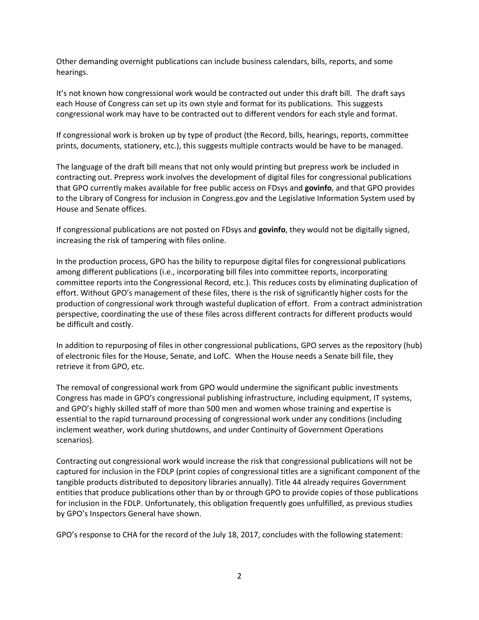Other demanding overnight publications can include business calendars, bills, reports, and some hearings.

It's not known how congressional work would be contracted out under this draft bill. The draft says each House of Congress can set up its own style and format for its publications. This suggests congressional work may have to be contracted out to different vendors for each style and format.

If congressional work is broken up by type of product (the Record, bills, hearings, reports, committee prints, documents, stationery, etc.), this suggests multiple contracts would be have to be managed.

The language of the draft bill means that not only would printing but prepress work be included in contracting out. Prepress work involves the development of digital files for congressional publications that GPO currently makes available for free public access on FDsys and **govinfo**, and that GPO provides to the Library of Congress for inclusion in Congress.gov and the Legislative Information System used by House and Senate offices.

If congressional publications are not posted on FDsys and **govinfo**, they would not be digitally signed, increasing the risk of tampering with files online.

In the production process, GPO has the bility to repurpose digital files for congressional publications among different publications (i.e., incorporating bill files into committee reports, incorporating committee reports into the Congressional Record, etc.). This reduces costs by eliminating duplication of effort. Without GPO's management of these files, there is the risk of significantly higher costs for the production of congressional work through wasteful duplication of effort. From a contract administration perspective, coordinating the use of these files across different contracts for different products would be difficult and costly.

In addition to repurposing of files in other congressional publications, GPO serves as the repository (hub) of electronic files for the House, Senate, and LofC. When the House needs a Senate bill file, they retrieve it from GPO, etc.

The removal of congressional work from GPO would undermine the significant public investments Congress has made in GPO's congressional publishing infrastructure, including equipment, IT systems, and GPO's highly skilled staff of more than 500 men and women whose training and expertise is essential to the rapid turnaround processing of congressional work under any conditions (including inclement weather, work during shutdowns, and under Continuity of Government Operations scenarios).

Contracting out congressional work would increase the risk that congressional publications will not be captured for inclusion in the FDLP (print copies of congressional titles are a significant component of the tangible products distributed to depository libraries annually). Title 44 already requires Government entities that produce publications other than by or through GPO to provide copies of those publications for inclusion in the FDLP. Unfortunately, this obligation frequently goes unfulfilled, as previous studies by GPO's Inspectors General have shown.

GPO's response to CHA for the record of the July 18, 2017, concludes with the following statement: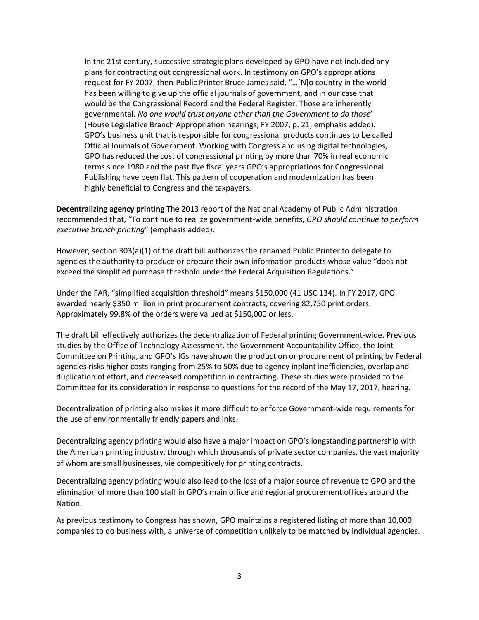In the 21st century, successive strategic plans developed by GPO have not included any plans for contracting out congressional work. In testimony on GPO's appropriations request for FY 2007, then-Public Printer Bruce James said, "…[N]o country in the world has been willing to give up the official journals of government, and in our case that would be the Congressional Record and the Federal Register. Those are inherently governmental*. No one would trust anyone other than the Government to do those*' (House Legislative Branch Appropriation hearings, FY 2007, p. 21; emphasis added). GPO's business unit that is responsible for congressional products continues to be called Official Journals of Government. Working with Congress and using digital technologies, GPO has reduced the cost of congressional printing by more than 70% in real economic terms since 1980 and the past five fiscal years GPO's appropriations for Congressional Publishing have been flat. This pattern of cooperation and modernization has been highly beneficial to Congress and the taxpayers.

**Decentralizing agency printing** The 2013 report of the National Academy of Public Administration recommended that, "To continue to realize government-wide benefits, *GPO should continue to perform executive branch printing*" (emphasis added).

However, section 303(a)(1) of the draft bill authorizes the renamed Public Printer to delegate to agencies the authority to produce or procure their own information products whose value "does not exceed the simplified purchase threshold under the Federal Acquisition Regulations."

Under the FAR, "simplified acquisition threshold" means \$150,000 (41 USC 134). In FY 2017, GPO awarded nearly \$350 million in print procurement contracts, covering 82,750 print orders. Approximately 99.8% of the orders were valued at \$150,000 or less.

The draft bill effectively authorizes the decentralization of Federal printing Government-wide. Previous studies by the Office of Technology Assessment, the Government Accountability Office, the Joint Committee on Printing, and GPO's IGs have shown the production or procurement of printing by Federal agencies risks higher costs ranging from 25% to 50% due to agency inplant inefficiencies, overlap and duplication of effort, and decreased competition in contracting. These studies were provided to the Committee for its consideration in response to questions for the record of the May 17, 2017, hearing.

Decentralization of printing also makes it more difficult to enforce Government-wide requirements for the use of environmentally friendly papers and inks.

Decentralizing agency printing would also have a major impact on GPO's longstanding partnership with the American printing industry, through which thousands of private sector companies, the vast majority of whom are small businesses, vie competitively for printing contracts.

Decentralizing agency printing would also lead to the loss of a major source of revenue to GPO and the elimination of more than 100 staff in GPO's main office and regional procurement offices around the Nation.

As previous testimony to Congress has shown, GPO maintains a registered listing of more than 10,000 companies to do business with, a universe of competition unlikely to be matched by individual agencies.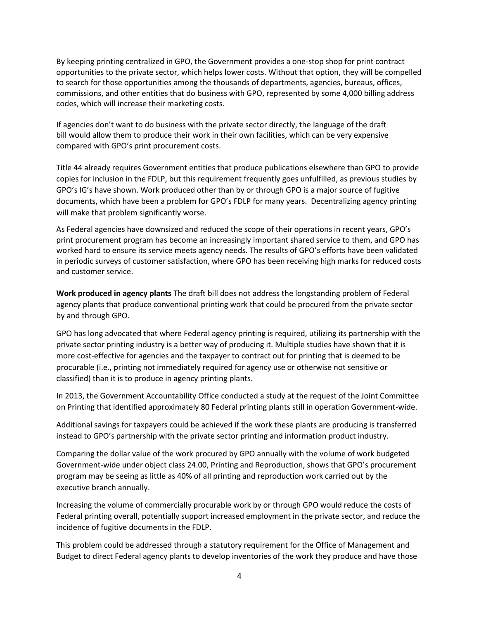By keeping printing centralized in GPO, the Government provides a one-stop shop for print contract opportunities to the private sector, which helps lower costs. Without that option, they will be compelled to search for those opportunities among the thousands of departments, agencies, bureaus, offices, commissions, and other entities that do business with GPO, represented by some 4,000 billing address codes, which will increase their marketing costs.

If agencies don't want to do business with the private sector directly, the language of the draft bill would allow them to produce their work in their own facilities, which can be very expensive compared with GPO's print procurement costs.

Title 44 already requires Government entities that produce publications elsewhere than GPO to provide copies for inclusion in the FDLP, but this requirement frequently goes unfulfilled, as previous studies by GPO's IG's have shown. Work produced other than by or through GPO is a major source of fugitive documents, which have been a problem for GPO's FDLP for many years. Decentralizing agency printing will make that problem significantly worse.

As Federal agencies have downsized and reduced the scope of their operations in recent years, GPO's print procurement program has become an increasingly important shared service to them, and GPO has worked hard to ensure its service meets agency needs. The results of GPO's efforts have been validated in periodic surveys of customer satisfaction, where GPO has been receiving high marks for reduced costs and customer service.

**Work produced in agency plants** The draft bill does not address the longstanding problem of Federal agency plants that produce conventional printing work that could be procured from the private sector by and through GPO.

GPO has long advocated that where Federal agency printing is required, utilizing its partnership with the private sector printing industry is a better way of producing it. Multiple studies have shown that it is more cost-effective for agencies and the taxpayer to contract out for printing that is deemed to be procurable (i.e., printing not immediately required for agency use or otherwise not sensitive or classified) than it is to produce in agency printing plants.

In 2013, the Government Accountability Office conducted a study at the request of the Joint Committee on Printing that identified approximately 80 Federal printing plants still in operation Government-wide.

Additional savings for taxpayers could be achieved if the work these plants are producing is transferred instead to GPO's partnership with the private sector printing and information product industry.

Comparing the dollar value of the work procured by GPO annually with the volume of work budgeted Government-wide under object class 24.00, Printing and Reproduction, shows that GPO's procurement program may be seeing as little as 40% of all printing and reproduction work carried out by the executive branch annually.

Increasing the volume of commercially procurable work by or through GPO would reduce the costs of Federal printing overall, potentially support increased employment in the private sector, and reduce the incidence of fugitive documents in the FDLP.

This problem could be addressed through a statutory requirement for the Office of Management and Budget to direct Federal agency plants to develop inventories of the work they produce and have those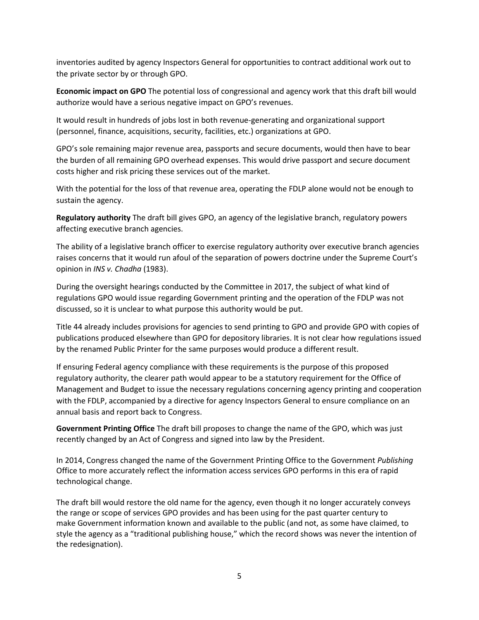inventories audited by agency Inspectors General for opportunities to contract additional work out to the private sector by or through GPO.

**Economic impact on GPO** The potential loss of congressional and agency work that this draft bill would authorize would have a serious negative impact on GPO's revenues.

It would result in hundreds of jobs lost in both revenue-generating and organizational support (personnel, finance, acquisitions, security, facilities, etc.) organizations at GPO.

GPO's sole remaining major revenue area, passports and secure documents, would then have to bear the burden of all remaining GPO overhead expenses. This would drive passport and secure document costs higher and risk pricing these services out of the market.

With the potential for the loss of that revenue area, operating the FDLP alone would not be enough to sustain the agency.

**Regulatory authority** The draft bill gives GPO, an agency of the legislative branch, regulatory powers affecting executive branch agencies.

The ability of a legislative branch officer to exercise regulatory authority over executive branch agencies raises concerns that it would run afoul of the separation of powers doctrine under the Supreme Court's opinion in *INS v. Chadha* (1983).

During the oversight hearings conducted by the Committee in 2017, the subject of what kind of regulations GPO would issue regarding Government printing and the operation of the FDLP was not discussed, so it is unclear to what purpose this authority would be put.

Title 44 already includes provisions for agencies to send printing to GPO and provide GPO with copies of publications produced elsewhere than GPO for depository libraries. It is not clear how regulations issued by the renamed Public Printer for the same purposes would produce a different result.

If ensuring Federal agency compliance with these requirements is the purpose of this proposed regulatory authority, the clearer path would appear to be a statutory requirement for the Office of Management and Budget to issue the necessary regulations concerning agency printing and cooperation with the FDLP, accompanied by a directive for agency Inspectors General to ensure compliance on an annual basis and report back to Congress.

**Government Printing Office** The draft bill proposes to change the name of the GPO, which was just recently changed by an Act of Congress and signed into law by the President.

In 2014, Congress changed the name of the Government Printing Office to the Government *Publishing* Office to more accurately reflect the information access services GPO performs in this era of rapid technological change.

The draft bill would restore the old name for the agency, even though it no longer accurately conveys the range or scope of services GPO provides and has been using for the past quarter century to make Government information known and available to the public (and not, as some have claimed, to style the agency as a "traditional publishing house," which the record shows was never the intention of the redesignation).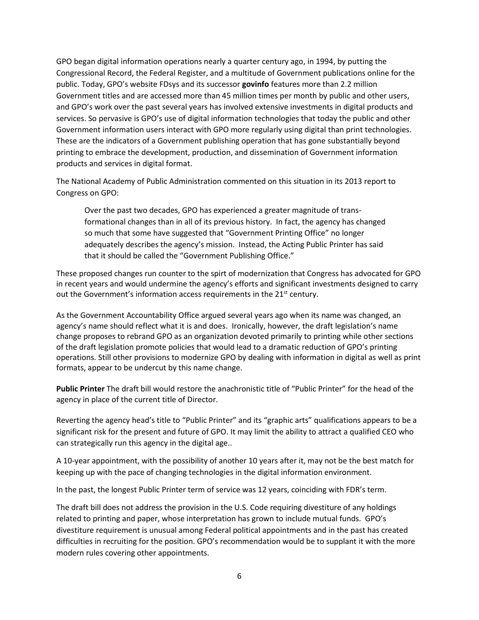GPO began digital information operations nearly a quarter century ago, in 1994, by putting the Congressional Record, the Federal Register, and a multitude of Government publications online for the public. Today, GPO's website FDsys and its successor **govinfo** features more than 2.2 million Government titles and are accessed more than 45 million times per month by public and other users, and GPO's work over the past several years has involved extensive investments in digital products and services. So pervasive is GPO's use of digital information technologies that today the public and other Government information users interact with GPO more regularly using digital than print technologies. These are the indicators of a Government publishing operation that has gone substantially beyond printing to embrace the development, production, and dissemination of Government information products and services in digital format.

The National Academy of Public Administration commented on this situation in its 2013 report to Congress on GPO:

Over the past two decades, GPO has experienced a greater magnitude of transformational changes than in all of its previous history. In fact, the agency has changed so much that some have suggested that "Government Printing Office" no longer adequately describes the agency's mission. Instead, the Acting Public Printer has said that it should be called the "Government Publishing Office."

These proposed changes run counter to the spirt of modernization that Congress has advocated for GPO in recent years and would undermine the agency's efforts and significant investments designed to carry out the Government's information access requirements in the 21<sup>st</sup> century.

As the Government Accountability Office argued several years ago when its name was changed, an agency's name should reflect what it is and does. Ironically, however, the draft legislation's name change proposes to rebrand GPO as an organization devoted primarily to printing while other sections of the draft legislation promote policies that would lead to a dramatic reduction of GPO's printing operations. Still other provisions to modernize GPO by dealing with information in digital as well as print formats, appear to be undercut by this name change.

**Public Printer** The draft bill would restore the anachronistic title of "Public Printer" for the head of the agency in place of the current title of Director.

Reverting the agency head's title to "Public Printer" and its "graphic arts" qualifications appears to be a significant risk for the present and future of GPO. It may limit the ability to attract a qualified CEO who can strategically run this agency in the digital age..

A 10-year appointment, with the possibility of another 10 years after it, may not be the best match for keeping up with the pace of changing technologies in the digital information environment.

In the past, the longest Public Printer term of service was 12 years, coinciding with FDR's term.

The draft bill does not address the provision in the U.S. Code requiring divestiture of any holdings related to printing and paper, whose interpretation has grown to include mutual funds. GPO's divestiture requirement is unusual among Federal political appointments and in the past has created difficulties in recruiting for the position. GPO's recommendation would be to supplant it with the more modern rules covering other appointments.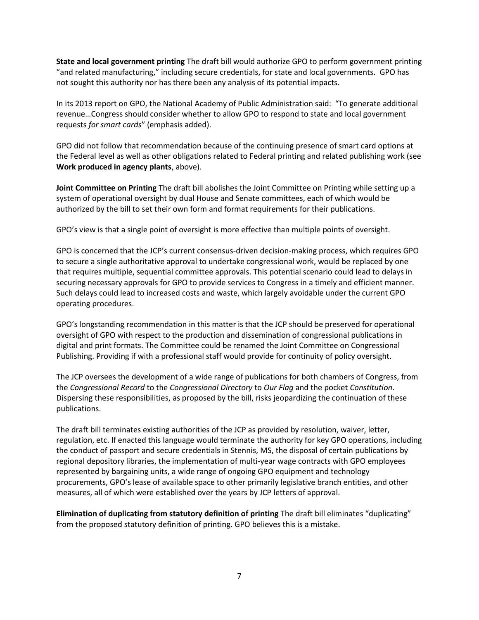**State and local government printing** The draft bill would authorize GPO to perform government printing "and related manufacturing," including secure credentials, for state and local governments. GPO has not sought this authority nor has there been any analysis of its potential impacts.

In its 2013 report on GPO, the National Academy of Public Administration said: "To generate additional revenue…Congress should consider whether to allow GPO to respond to state and local government requests *for smart cards*" (emphasis added).

GPO did not follow that recommendation because of the continuing presence of smart card options at the Federal level as well as other obligations related to Federal printing and related publishing work (see **Work produced in agency plants**, above).

**Joint Committee on Printing** The draft bill abolishes the Joint Committee on Printing while setting up a system of operational oversight by dual House and Senate committees, each of which would be authorized by the bill to set their own form and format requirements for their publications.

GPO's view is that a single point of oversight is more effective than multiple points of oversight.

GPO is concerned that the JCP's current consensus-driven decision-making process, which requires GPO to secure a single authoritative approval to undertake congressional work, would be replaced by one that requires multiple, sequential committee approvals. This potential scenario could lead to delays in securing necessary approvals for GPO to provide services to Congress in a timely and efficient manner. Such delays could lead to increased costs and waste, which largely avoidable under the current GPO operating procedures.

GPO's longstanding recommendation in this matter is that the JCP should be preserved for operational oversight of GPO with respect to the production and dissemination of congressional publications in digital and print formats. The Committee could be renamed the Joint Committee on Congressional Publishing. Providing if with a professional staff would provide for continuity of policy oversight.

The JCP oversees the development of a wide range of publications for both chambers of Congress, from the *Congressional Record* to the *Congressional Directory* to *Our Flag* and the pocket *Constitution*. Dispersing these responsibilities, as proposed by the bill, risks jeopardizing the continuation of these publications.

The draft bill terminates existing authorities of the JCP as provided by resolution, waiver, letter, regulation, etc. If enacted this language would terminate the authority for key GPO operations, including the conduct of passport and secure credentials in Stennis, MS, the disposal of certain publications by regional depository libraries, the implementation of multi-year wage contracts with GPO employees represented by bargaining units, a wide range of ongoing GPO equipment and technology procurements, GPO's lease of available space to other primarily legislative branch entities, and other measures, all of which were established over the years by JCP letters of approval.

**Elimination of duplicating from statutory definition of printing** The draft bill eliminates "duplicating" from the proposed statutory definition of printing. GPO believes this is a mistake.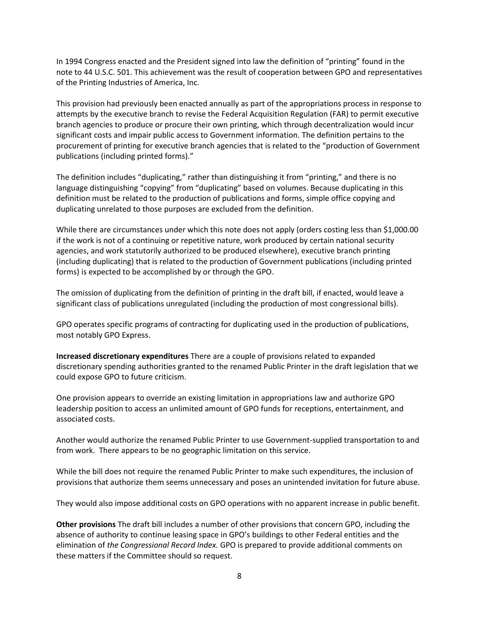In 1994 Congress enacted and the President signed into law the definition of "printing" found in the note to 44 U.S.C. 501. This achievement was the result of cooperation between GPO and representatives of the Printing Industries of America, Inc.

This provision had previously been enacted annually as part of the appropriations process in response to attempts by the executive branch to revise the Federal Acquisition Regulation (FAR) to permit executive branch agencies to produce or procure their own printing, which through decentralization would incur significant costs and impair public access to Government information. The definition pertains to the procurement of printing for executive branch agencies that is related to the "production of Government publications (including printed forms)."

The definition includes "duplicating," rather than distinguishing it from "printing," and there is no language distinguishing "copying" from "duplicating" based on volumes. Because duplicating in this definition must be related to the production of publications and forms, simple office copying and duplicating unrelated to those purposes are excluded from the definition.

While there are circumstances under which this note does not apply (orders costing less than \$1,000.00 if the work is not of a continuing or repetitive nature, work produced by certain national security agencies, and work statutorily authorized to be produced elsewhere), executive branch printing (including duplicating) that is related to the production of Government publications (including printed forms) is expected to be accomplished by or through the GPO.

The omission of duplicating from the definition of printing in the draft bill, if enacted, would leave a significant class of publications unregulated (including the production of most congressional bills).

GPO operates specific programs of contracting for duplicating used in the production of publications, most notably GPO Express.

**Increased discretionary expenditures** There are a couple of provisions related to expanded discretionary spending authorities granted to the renamed Public Printer in the draft legislation that we could expose GPO to future criticism.

One provision appears to override an existing limitation in appropriations law and authorize GPO leadership position to access an unlimited amount of GPO funds for receptions, entertainment, and associated costs.

Another would authorize the renamed Public Printer to use Government-supplied transportation to and from work. There appears to be no geographic limitation on this service.

While the bill does not require the renamed Public Printer to make such expenditures, the inclusion of provisions that authorize them seems unnecessary and poses an unintended invitation for future abuse.

They would also impose additional costs on GPO operations with no apparent increase in public benefit.

**Other provisions** The draft bill includes a number of other provisions that concern GPO, including the absence of authority to continue leasing space in GPO's buildings to other Federal entities and the elimination of *the Congressional Record Index.* GPO is prepared to provide additional comments on these matters if the Committee should so request.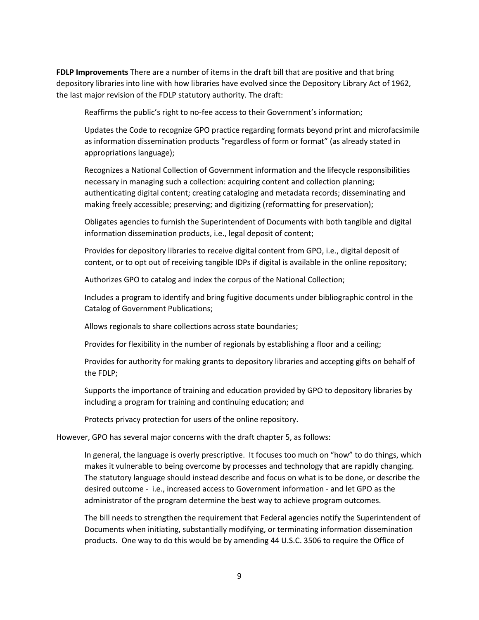**FDLP Improvements** There are a number of items in the draft bill that are positive and that bring depository libraries into line with how libraries have evolved since the Depository Library Act of 1962, the last major revision of the FDLP statutory authority. The draft:

Reaffirms the public's right to no-fee access to their Government's information;

Updates the Code to recognize GPO practice regarding formats beyond print and microfacsimile as information dissemination products "regardless of form or format" (as already stated in appropriations language);

Recognizes a National Collection of Government information and the lifecycle responsibilities necessary in managing such a collection: acquiring content and collection planning; authenticating digital content; creating cataloging and metadata records; disseminating and making freely accessible; preserving; and digitizing (reformatting for preservation);

Obligates agencies to furnish the Superintendent of Documents with both tangible and digital information dissemination products, i.e., legal deposit of content;

Provides for depository libraries to receive digital content from GPO, i.e., digital deposit of content, or to opt out of receiving tangible IDPs if digital is available in the online repository;

Authorizes GPO to catalog and index the corpus of the National Collection;

Includes a program to identify and bring fugitive documents under bibliographic control in the Catalog of Government Publications;

Allows regionals to share collections across state boundaries;

Provides for flexibility in the number of regionals by establishing a floor and a ceiling;

Provides for authority for making grants to depository libraries and accepting gifts on behalf of the FDLP;

Supports the importance of training and education provided by GPO to depository libraries by including a program for training and continuing education; and

Protects privacy protection for users of the online repository.

However, GPO has several major concerns with the draft chapter 5, as follows:

In general, the language is overly prescriptive. It focuses too much on "how" to do things, which makes it vulnerable to being overcome by processes and technology that are rapidly changing. The statutory language should instead describe and focus on what is to be done, or describe the desired outcome - i.e., increased access to Government information - and let GPO as the administrator of the program determine the best way to achieve program outcomes.

The bill needs to strengthen the requirement that Federal agencies notify the Superintendent of Documents when initiating, substantially modifying, or terminating information dissemination products. One way to do this would be by amending 44 U.S.C. 3506 to require the Office of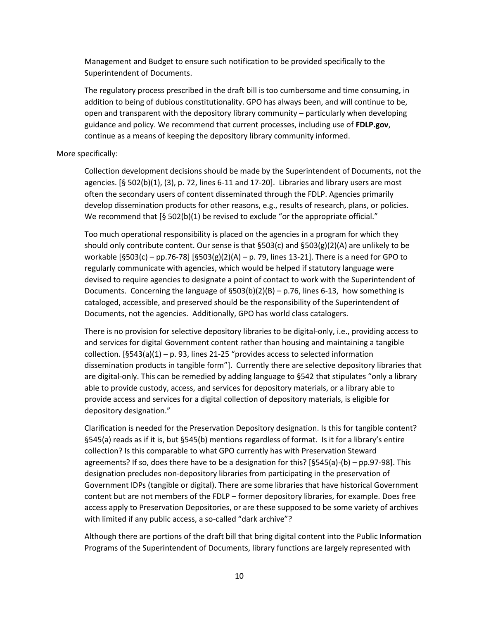Management and Budget to ensure such notification to be provided specifically to the Superintendent of Documents.

The regulatory process prescribed in the draft bill is too cumbersome and time consuming, in addition to being of dubious constitutionality. GPO has always been, and will continue to be, open and transparent with the depository library community – particularly when developing guidance and policy. We recommend that current processes, including use of **FDLP.gov**, continue as a means of keeping the depository library community informed.

## More specifically:

Collection development decisions should be made by the Superintendent of Documents, not the agencies.  $[§ 502(b)(1), (3), p. 72, lines 6-11 and 17-20].$  Libraries and library users are most often the secondary users of content disseminated through the FDLP. Agencies primarily develop dissemination products for other reasons, e.g., results of research, plans, or policies. We recommend that  $[§ 502(b)(1)$  be revised to exclude "or the appropriate official."

Too much operational responsibility is placed on the agencies in a program for which they should only contribute content. Our sense is that §503(c) and §503(g)(2)(A) are unlikely to be workable  $[§503(c) - pp.76-78]$   $[§503(g)(2)(A) - p.79$ , lines 13-21]. There is a need for GPO to regularly communicate with agencies, which would be helped if statutory language were devised to require agencies to designate a point of contact to work with the Superintendent of Documents. Concerning the language of  $\S503(b)(2)(B) - p.76$ , lines 6-13, how something is cataloged, accessible, and preserved should be the responsibility of the Superintendent of Documents, not the agencies. Additionally, GPO has world class catalogers.

There is no provision for selective depository libraries to be digital-only, i.e., providing access to and services for digital Government content rather than housing and maintaining a tangible collection.  $[§543(a)(1) - p. 93$ , lines 21-25 "provides access to selected information dissemination products in tangible form"]. Currently there are selective depository libraries that are digital-only. This can be remedied by adding language to §542 that stipulates "only a library able to provide custody, access, and services for depository materials, or a library able to provide access and services for a digital collection of depository materials, is eligible for depository designation."

Clarification is needed for the Preservation Depository designation. Is this for tangible content? §545(a) reads as if it is, but §545(b) mentions regardless of format. Is it for a library's entire collection? Is this comparable to what GPO currently has with Preservation Steward agreements? If so, does there have to be a designation for this? [§545(a)-(b) – pp.97-98]. This designation precludes non-depository libraries from participating in the preservation of Government IDPs (tangible or digital). There are some libraries that have historical Government content but are not members of the FDLP – former depository libraries, for example. Does free access apply to Preservation Depositories, or are these supposed to be some variety of archives with limited if any public access, a so-called "dark archive"?

Although there are portions of the draft bill that bring digital content into the Public Information Programs of the Superintendent of Documents, library functions are largely represented with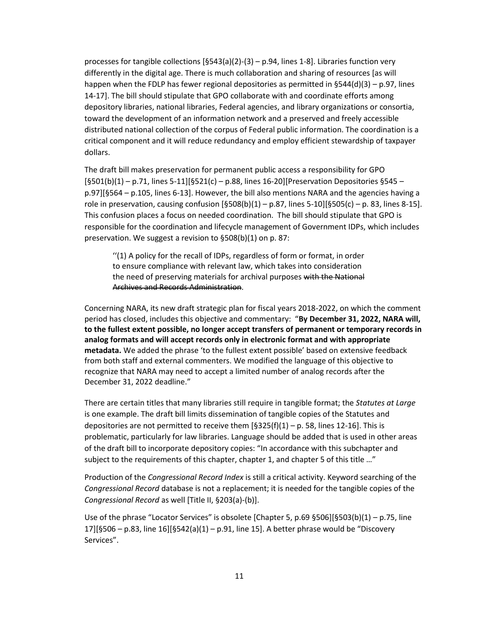processes for tangible collections  $[§543(a)(2)-(3) - p.94$ , lines 1-8]. Libraries function very differently in the digital age. There is much collaboration and sharing of resources [as will happen when the FDLP has fewer regional depositories as permitted in §544(d)(3) – p.97, lines 14-17]. The bill should stipulate that GPO collaborate with and coordinate efforts among depository libraries, national libraries, Federal agencies, and library organizations or consortia, toward the development of an information network and a preserved and freely accessible distributed national collection of the corpus of Federal public information. The coordination is a critical component and it will reduce redundancy and employ efficient stewardship of taxpayer dollars.

The draft bill makes preservation for permanent public access a responsibility for GPO  $[§501(b)(1) - p.71,$  lines 5-11][§521(c) – p.88, lines 16-20][Preservation Depositories §545 – p.97][§564 – p.105, lines 6-13]. However, the bill also mentions NARA and the agencies having a role in preservation, causing confusion  $[§508(b)(1) - p.87$ , lines 5-10][§505(c) – p. 83, lines 8-15]. This confusion places a focus on needed coordination. The bill should stipulate that GPO is responsible for the coordination and lifecycle management of Government IDPs, which includes preservation. We suggest a revision to §508(b)(1) on p. 87:

''(1) A policy for the recall of IDPs, regardless of form or format, in order to ensure compliance with relevant law, which takes into consideration the need of preserving materials for archival purposes with the National Archives and Records Administration.

Concerning NARA, its new draft strategic plan for fiscal years 2018-2022, on which the comment period has closed, includes this objective and commentary: "**By December 31, 2022, NARA will, to the fullest extent possible, no longer accept transfers of permanent or temporary records in analog formats and will accept records only in electronic format and with appropriate metadata.** We added the phrase 'to the fullest extent possible' based on extensive feedback from both staff and external commenters. We modified the language of this objective to recognize that NARA may need to accept a limited number of analog records after the December 31, 2022 deadline."

There are certain titles that many libraries still require in tangible format; the *Statutes at Large* is one example. The draft bill limits dissemination of tangible copies of the Statutes and depositories are not permitted to receive them  $[§325(f)(1) - p. 58$ , lines 12-16]. This is problematic, particularly for law libraries. Language should be added that is used in other areas of the draft bill to incorporate depository copies: "In accordance with this subchapter and subject to the requirements of this chapter, chapter 1, and chapter 5 of this title ..."

Production of the *Congressional Record Index* is still a critical activity. Keyword searching of the *Congressional Record* database is not a replacement; it is needed for the tangible copies of the *Congressional Record* as well [Title II, §203(a)-(b)].

Use of the phrase "Locator Services" is obsolete [Chapter 5, p.69 §506][§503(b)(1) – p.75, line 17][§506 – p.83, line 16][§542(a)(1) – p.91, line 15]. A better phrase would be "Discovery Services".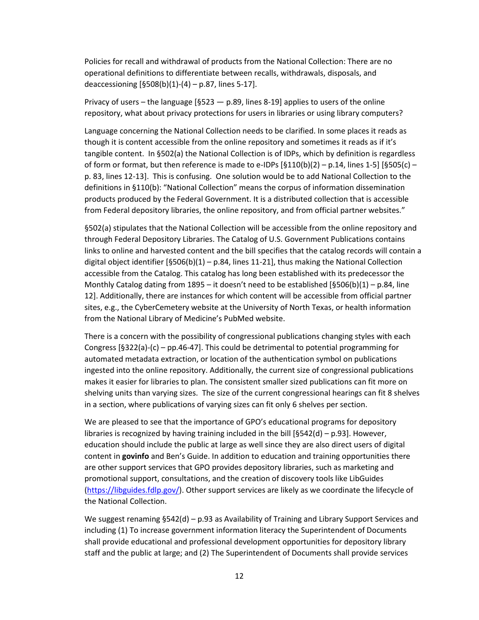Policies for recall and withdrawal of products from the National Collection: There are no operational definitions to differentiate between recalls, withdrawals, disposals, and deaccessioning  $[§508(b)(1)-(4) - p.87$ , lines 5-17].

Privacy of users – the language  $[§523 - p.89]$  lines 8-19] applies to users of the online repository, what about privacy protections for users in libraries or using library computers?

Language concerning the National Collection needs to be clarified. In some places it reads as though it is content accessible from the online repository and sometimes it reads as if it's tangible content. In §502(a) the National Collection is of IDPs, which by definition is regardless of form or format, but then reference is made to e-IDPs  $[§110(b)(2) - p.14$ , lines 1-5]  $[§505(c)$ p. 83, lines 12-13]. This is confusing. One solution would be to add National Collection to the definitions in §110(b): "National Collection" means the corpus of information dissemination products produced by the Federal Government. It is a distributed collection that is accessible from Federal depository libraries, the online repository, and from official partner websites."

§502(a) stipulates that the National Collection will be accessible from the online repository and through Federal Depository Libraries. The Catalog of U.S. Government Publications contains links to online and harvested content and the bill specifies that the catalog records will contain a digital object identifier  $[§506(b)(1) - p.84$ , lines 11-21], thus making the National Collection accessible from the Catalog. This catalog has long been established with its predecessor the Monthly Catalog dating from 1895 – it doesn't need to be established  $[§506(b)(1) - p.84$ , line 12]. Additionally, there are instances for which content will be accessible from official partner sites, e.g., the CyberCemetery website at the University of North Texas, or health information from the National Library of Medicine's PubMed website.

There is a concern with the possibility of congressional publications changing styles with each Congress [§322(a)-(c) – pp.46-47]. This could be detrimental to potential programming for automated metadata extraction, or location of the authentication symbol on publications ingested into the online repository. Additionally, the current size of congressional publications makes it easier for libraries to plan. The consistent smaller sized publications can fit more on shelving units than varying sizes. The size of the current congressional hearings can fit 8 shelves in a section, where publications of varying sizes can fit only 6 shelves per section.

We are pleased to see that the importance of GPO's educational programs for depository libraries is recognized by having training included in the bill  $[§542(d) - p.93]$ . However, education should include the public at large as well since they are also direct users of digital content in **govinfo** and Ben's Guide. In addition to education and training opportunities there are other support services that GPO provides depository libraries, such as marketing and promotional support, consultations, and the creation of discovery tools like LibGuides [\(https://libguides.fdlp.gov/\)](https://libguides.fdlp.gov/). Other support services are likely as we coordinate the lifecycle of the National Collection.

We suggest renaming §542(d) – p.93 as Availability of Training and Library Support Services and including (1) To increase government information literacy the Superintendent of Documents shall provide educational and professional development opportunities for depository library staff and the public at large; and (2) The Superintendent of Documents shall provide services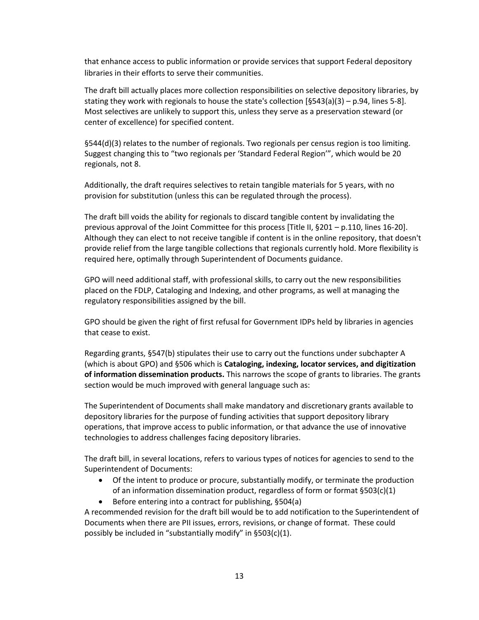that enhance access to public information or provide services that support Federal depository libraries in their efforts to serve their communities.

The draft bill actually places more collection responsibilities on selective depository libraries, by stating they work with regionals to house the state's collection  $[§543(a)(3) - p.94$ , lines 5-8]. Most selectives are unlikely to support this, unless they serve as a preservation steward (or center of excellence) for specified content.

§544(d)(3) relates to the number of regionals. Two regionals per census region is too limiting. Suggest changing this to "two regionals per 'Standard Federal Region'", which would be 20 regionals, not 8.

Additionally, the draft requires selectives to retain tangible materials for 5 years, with no provision for substitution (unless this can be regulated through the process).

The draft bill voids the ability for regionals to discard tangible content by invalidating the previous approval of the Joint Committee for this process [Title II, §201 – p.110, lines 16-20]. Although they can elect to not receive tangible if content is in the online repository, that doesn't provide relief from the large tangible collections that regionals currently hold. More flexibility is required here, optimally through Superintendent of Documents guidance.

GPO will need additional staff, with professional skills, to carry out the new responsibilities placed on the FDLP, Cataloging and Indexing, and other programs, as well at managing the regulatory responsibilities assigned by the bill.

GPO should be given the right of first refusal for Government IDPs held by libraries in agencies that cease to exist.

Regarding grants, §547(b) stipulates their use to carry out the functions under subchapter A (which is about GPO) and §506 which is **Cataloging, indexing, locator services, and digitization of information dissemination products.** This narrows the scope of grants to libraries. The grants section would be much improved with general language such as:

The Superintendent of Documents shall make mandatory and discretionary grants available to depository libraries for the purpose of funding activities that support depository library operations, that improve access to public information, or that advance the use of innovative technologies to address challenges facing depository libraries.

The draft bill, in several locations, refers to various types of notices for agencies to send to the Superintendent of Documents:

- Of the intent to produce or procure, substantially modify, or terminate the production of an information dissemination product, regardless of form or format §503(c)(1)
- $\bullet$  Before entering into a contract for publishing, §504(a)

A recommended revision for the draft bill would be to add notification to the Superintendent of Documents when there are PII issues, errors, revisions, or change of format. These could possibly be included in "substantially modify" in §503(c)(1).